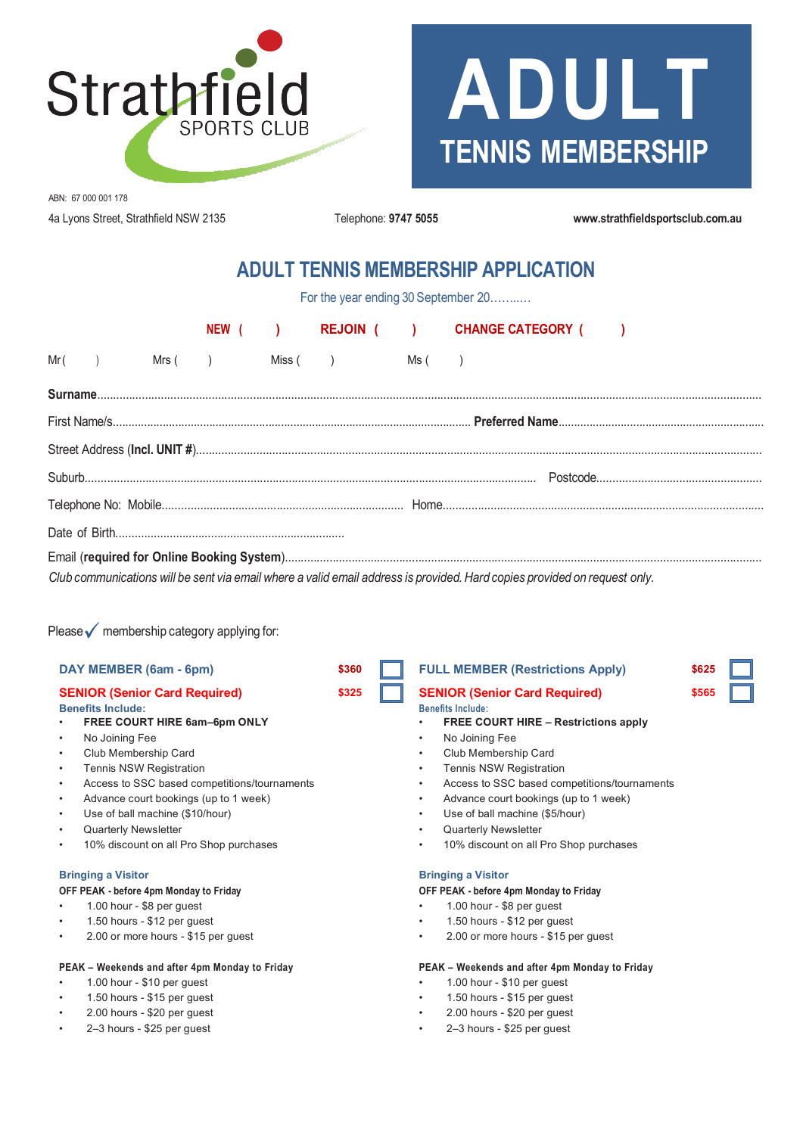

# **ADULT TENNIS MEMBERSHIP**

ABN: 67 000 001 178 4a Lyons Street, Strathfield NSW 2135 Telephone: **9747 5055 www.strathfieldsportsclub.com.au**

# **ADULT TENNIS MEMBERSHIP APPLICATION**

For the year ending 30 September 20..........

|                                                                                                                           |  |  |  |  |                                  |  | NEW ( ) REJOIN ( ) CHANGE CATEGORY ( ) |  |
|---------------------------------------------------------------------------------------------------------------------------|--|--|--|--|----------------------------------|--|----------------------------------------|--|
|                                                                                                                           |  |  |  |  | $Mr( )$ Mrs() Miss() Miss() Ms() |  |                                        |  |
|                                                                                                                           |  |  |  |  |                                  |  |                                        |  |
|                                                                                                                           |  |  |  |  |                                  |  |                                        |  |
|                                                                                                                           |  |  |  |  |                                  |  |                                        |  |
|                                                                                                                           |  |  |  |  |                                  |  |                                        |  |
|                                                                                                                           |  |  |  |  |                                  |  |                                        |  |
|                                                                                                                           |  |  |  |  |                                  |  |                                        |  |
|                                                                                                                           |  |  |  |  |                                  |  |                                        |  |
| Club communications will be sent via email where a valid email address is provided. Hard copies provided on request only. |  |  |  |  |                                  |  |                                        |  |

Please  $\sqrt{\ }$  membership category applying for:

- **Benefits Include: Benefits Include:**
- 
- Club Membership Card Club Membership Card
- 
- 
- 
- 
- 
- 

**OFF PEAK - before 4pm Monday to Friday OFF PEAK - before 4pm Monday to Friday**

- 
- 
- 

# **PEAK – Weekends and after 4pm Monday to Friday PEAK – Weekends and after 4pm Monday to Friday**

- 
- 
- 2.00 hours \$20 per guest 2.00 hours \$20 per guest
- 

| DAY MEMBER (6am - 6pm)                                        | \$360   FULL MEMBER (Restrictions Apply)  | \$625 |  |  |
|---------------------------------------------------------------|-------------------------------------------|-------|--|--|
| <b>SENIOR (Senior Card Required)</b>                          | \$325   SENIOR (Senior Card Required)     | \$565 |  |  |
| <b>Benefits Include:</b>                                      | <b>Benefits Include:</b>                  |       |  |  |
| $\sim$ EDEE COUDT LUDE $\mathcal{L}_{\mathbf{c}}$ am Cam ONLY | <b>EDEE COUPT LUDE Destrictions annum</b> |       |  |  |

### • **FREE COURT HIRE 6am–6pm ONLY** • **FREE COURT HIRE – Restrictions apply**

- No Joining Fee No Joining Fee
	-
- Tennis NSW Registration Tennis NSW Registration
- Access to SSC based competitions/tournaments Access to SSC based competitions/tournaments
- Advance court bookings (up to 1 week) Advance court bookings (up to 1 week)
- Use of ball machine (\$10/hour) Use of ball machine (\$5/hour)
- Quarterly Newsletter Quarterly Newsletter
- 10% discount on all Pro Shop purchases 10% discount on all Pro Shop purchases

### **Bringing a Visitor Bringing a Visitor**

- 1.00 hour \$8 per guest 1.00 hour \$8 per guest
- 1.50 hours \$12 per guest 1.50 hours \$12 per guest
- 2.00 or more hours \$15 per guest 2.00 or more hours \$15 per guest

- 1.00 hour \$10 per guest 1.00 hour \$10 per guest
- 1.50 hours \$15 per guest 1.50 hours \$15 per guest
	-
- 2–3 hours \$25 per guest 2–3 hours \$25 per guest